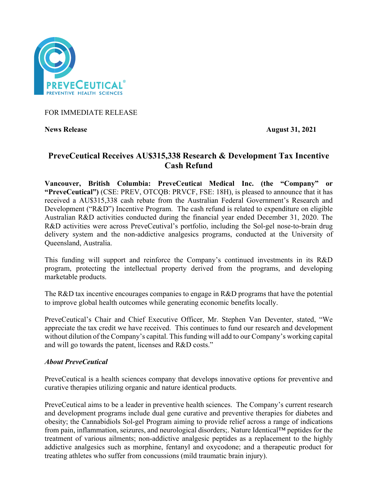

FOR IMMEDIATE RELEASE

**News Release August 31, 2021**

# **PreveCeutical Receives AU\$315,338 Research & Development Tax Incentive Cash Refund**

**Vancouver, British Columbia: PreveCeutical Medical Inc. (the "Company" or "PreveCeutical")** (CSE: PREV, OTCQB: PRVCF, FSE: 18H), is pleased to announce that it has received a AU\$315,338 cash rebate from the Australian Federal Government's Research and Development ("R&D") Incentive Program. The cash refund is related to expenditure on eligible Australian R&D activities conducted during the financial year ended December 31, 2020. The R&D activities were across PreveCeutival's portfolio, including the Sol-gel nose-to-brain drug delivery system and the non-addictive analgesics programs, conducted at the University of Queensland, Australia.

This funding will support and reinforce the Company's continued investments in its R&D program, protecting the intellectual property derived from the programs, and developing marketable products.

The R&D tax incentive encourages companies to engage in R&D programs that have the potential to improve global health outcomes while generating economic benefits locally.

PreveCeutical's Chair and Chief Executive Officer, Mr. Stephen Van Deventer, stated, "We appreciate the tax credit we have received. This continues to fund our research and development without dilution of the Company's capital. This funding will add to our Company's working capital and will go towards the patent, licenses and R&D costs."

# *About PreveCeutical*

PreveCeutical is a health sciences company that develops innovative options for preventive and curative therapies utilizing organic and nature identical products.

PreveCeutical aims to be a leader in preventive health sciences. The Company's current research and development programs include dual gene curative and preventive therapies for diabetes and obesity; the Cannabidiols Sol-gel Program aiming to provide relief across a range of indications from pain, inflammation, seizures, and neurological disorders;. Nature Identical™ peptides for the treatment of various ailments; non-addictive analgesic peptides as a replacement to the highly addictive analgesics such as morphine, fentanyl and oxycodone; and a therapeutic product for treating athletes who suffer from concussions (mild traumatic brain injury).